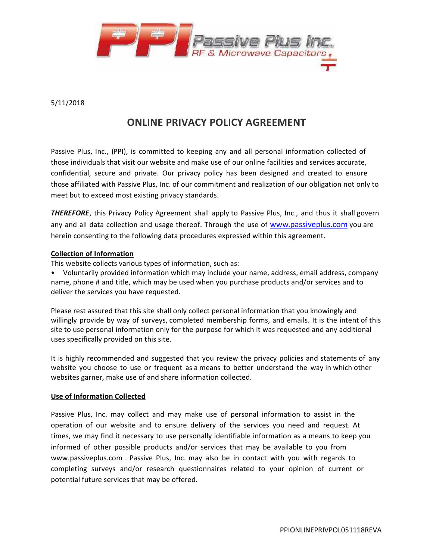

# 5/11/2018

# **ONLINE PRIVACY POLICY AGREEMENT**

Passive Plus, Inc., (PPI), is committed to keeping any and all personal information collected of those individuals that visit our website and make use of our online facilities and services accurate, confidential, secure and private. Our privacy policy has been designed and created to ensure those affiliated with Passive Plus, Inc. of our commitment and realization of our obligation not only to meet but to exceed most existing privacy standards.

*THEREFORE*, this Privacy Policy Agreement shall apply to Passive Plus, Inc., and thus it shall govern any and all data collection and usage thereof. Through the use of www.passiveplus.com you are herein consenting to the following data procedures expressed within this agreement.

## **Collection of Information**

This website collects various types of information, such as:

• Voluntarily provided information which may include your name, address, email address, company name, phone # and title, which may be used when you purchase products and/or services and to deliver the services you have requested.

Please rest assured that this site shall only collect personal information that you knowingly and willingly provide by way of surveys, completed membership forms, and emails. It is the intent of this site to use personal information only for the purpose for which it was requested and any additional uses specifically provided on this site.

It is highly recommended and suggested that you review the privacy policies and statements of any website you choose to use or frequent as a means to better understand the way in which other websites garner, make use of and share information collected.

# **Use of Information Collected**

Passive Plus, Inc. may collect and may make use of personal information to assist in the operation of our website and to ensure delivery of the services you need and request. At times, we may find it necessary to use personally identifiable information as a means to keep you informed of other possible products and/or services that may be available to you from www.passiveplus.com . Passive Plus, Inc. may also be in contact with you with regards to completing surveys and/or research questionnaires related to your opinion of current or potential future services that may be offered.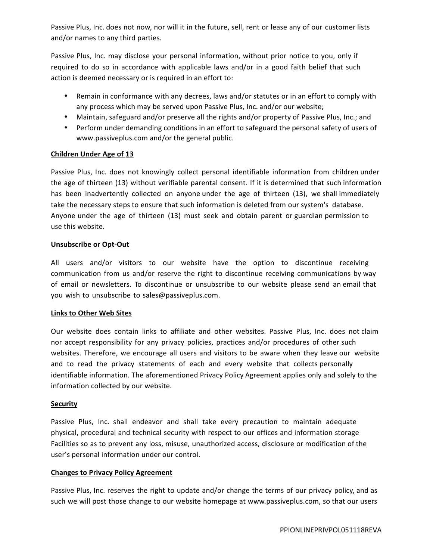Passive Plus, Inc. does not now, nor will it in the future, sell, rent or lease any of our customer lists and/or names to any third parties.

Passive Plus, Inc. may disclose your personal information, without prior notice to you, only if required to do so in accordance with applicable laws and/or in a good faith belief that such action is deemed necessary or is required in an effort to:

- Remain in conformance with any decrees, laws and/or statutes or in an effort to comply with any process which may be served upon Passive Plus, Inc. and/or our website;
- Maintain, safeguard and/or preserve all the rights and/or property ofPassive Plus, Inc.; and
- $\int$  Perform under demanding conditions in an effort to safeguard the personal safety of users of www.passiveplus.com and/or the general public.

## **Children Under Age of 13**

Passive Plus, Inc. does not knowingly collect personal identifiable information from children under the age of thirteen (13) without verifiable parental consent. If it is determined that such information has been inadvertently collected on anyone under the age of thirteen (13), we shall immediately take the necessary steps to ensure that such information is deleted from our system's database. Anyone under the age of thirteen (13) must seek and obtain parent or guardian permission to use this website.

#### **Unsubscribe or Opt-Out**

All users and/or visitors to our website have the option to discontinue receiving communication from us and/or reserve the right to discontinue receiving communications by way of email or newsletters. To discontinue or unsubscribe to our website please send an email that you wish to unsubscribe to sales@passiveplus.com.

#### **Links to Other Web Sites**

Our website does contain links to affiliate and other websites. Passive Plus, Inc. does not claim nor accept responsibility for any privacy policies, practices and/or procedures of other such websites. Therefore, we encourage all users and visitors to be aware when they leave our website and to read the privacy statements of each and every website that collects personally identifiable information. The aforementioned Privacy Policy Agreement applies only and solely to the information collected by our website.

#### **Security**

Passive Plus, Inc. shall endeavor and shall take every precaution to maintain adequate physical, procedural and technical security with respect to our offices and information storage Facilities so as to prevent any loss, misuse, unauthorized access, disclosure or modification of the user's personal information under our control.

#### **Changes to Privacy Policy Agreement**

Passive Plus, Inc. reserves the right to update and/or change the terms of our privacy policy, and as such we will post those change to our website homepage at www.passiveplus.com, so that our users